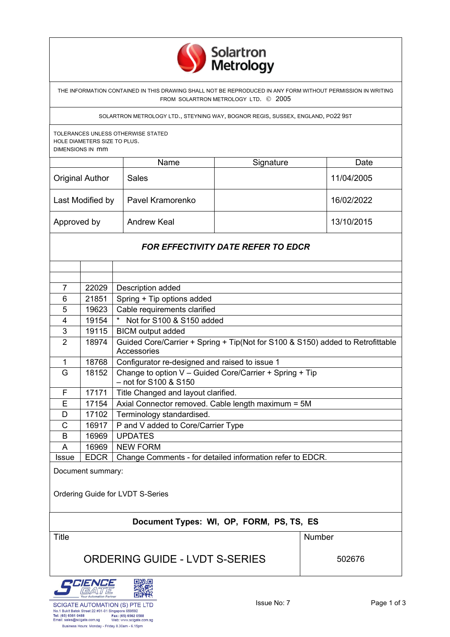

THE INFORMATION CONTAINED IN THIS DRAWING SHALL NOT BE REPRODUCED IN ANY FORM WITHOUT PERMISSION IN WRITING FROM SOLARTRON METROLOGY LTD. © 2005

SOLARTRON METROLOGY LTD., STEYNING WAY, BOGNOR REGIS, SUSSEX, ENGLAND, PO22 9ST

TOLERANCES UNLESS OTHERWISE STATED HOLE DIAMETERS SIZE TO PLUS. DIMENSIONS IN mm

|                        | <b>Name</b>      | Signature | Date       |
|------------------------|------------------|-----------|------------|
| <b>Original Author</b> | Sales            |           | 11/04/2005 |
| Last Modified by       | Pavel Kramorenko |           | 16/02/2022 |
| Approved by            | Andrew Keal      |           | 13/10/2015 |

## *FOR EFFECTIVITY DATE REFER TO EDCR*

| 7                                | 22029       | Description added                                                                             |
|----------------------------------|-------------|-----------------------------------------------------------------------------------------------|
| 6                                | 21851       | Spring + Tip options added                                                                    |
| 5                                | 19623       | Cable requirements clarified                                                                  |
| 4                                | 19154       | * Not for S100 & S150 added                                                                   |
| 3                                | 19115       | <b>BICM</b> output added                                                                      |
| $\overline{2}$                   | 18974       | Guided Core/Carrier + Spring + Tip(Not for S100 & S150) added to Retrofittable<br>Accessories |
|                                  | 18768       |                                                                                               |
| 1                                |             | Configurator re-designed and raised to issue 1                                                |
| G                                | 18152       | Change to option V - Guided Core/Carrier + Spring + Tip<br>- not for S100 & S150              |
| F                                | 17171       | Title Changed and layout clarified.                                                           |
| E                                | 17154       | Axial Connector removed. Cable length maximum = 5M                                            |
| D                                | 17102       | Terminology standardised.                                                                     |
| C                                | 16917       | P and V added to Core/Carrier Type                                                            |
| B                                | 16969       | <b>UPDATES</b>                                                                                |
| A                                | 16969       | <b>NEW FORM</b>                                                                               |
| Issue                            | <b>EDCR</b> | Change Comments - for detailed information refer to EDCR.                                     |
| Document summary:                |             |                                                                                               |
| Ordering Guide for LVDT S-Series |             |                                                                                               |
|                                  |             |                                                                                               |

## **Document Types: WI, OP, FORM, PS, TS, ES**

Title **Number** Number

ORDERING GUIDE - LVDT S-SERIES | 502676



Business Hours: Monday - Friday 8.30am - 6.15pm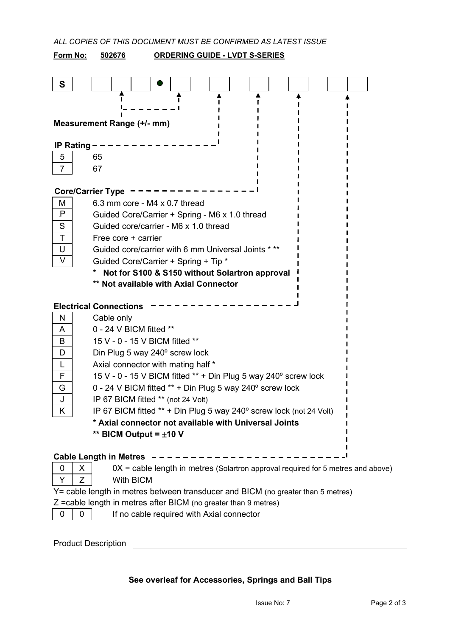| <u>Form No:</u>   | 502676                                                          | <b>ORDERING GUIDE - LVDT S-SERIES</b>                                            |  |
|-------------------|-----------------------------------------------------------------|----------------------------------------------------------------------------------|--|
| S                 |                                                                 |                                                                                  |  |
|                   | Measurement Range (+/- mm)                                      |                                                                                  |  |
| <b>IP Rating</b>  |                                                                 |                                                                                  |  |
| 5                 | 65                                                              |                                                                                  |  |
| $\overline{7}$    | 67                                                              |                                                                                  |  |
|                   |                                                                 |                                                                                  |  |
|                   | <b>Core/Carrier Type</b>                                        |                                                                                  |  |
| M                 | 6.3 mm core - $M4 \times 0.7$ thread                            |                                                                                  |  |
| .P                |                                                                 | Guided Core/Carrier + Spring - M6 x 1.0 thread                                   |  |
| S                 |                                                                 | Guided core/carrier - M6 x 1.0 thread                                            |  |
| $\mathsf{T}$      | Free core + carrier                                             |                                                                                  |  |
| U                 |                                                                 | Guided core/carrier with 6 mm Universal Joints ***                               |  |
| V                 |                                                                 | Guided Core/Carrier + Spring + Tip *                                             |  |
|                   |                                                                 | Not for S100 & S150 without Solartron approval                                   |  |
|                   |                                                                 | ** Not available with Axial Connector                                            |  |
|                   | <b>Electrical Connections</b>                                   |                                                                                  |  |
| N                 | Cable only                                                      |                                                                                  |  |
| A                 | 0 - 24 V BICM fitted **                                         |                                                                                  |  |
| B                 | 15 V - 0 - 15 V BICM fitted **                                  |                                                                                  |  |
| D                 |                                                                 | Din Plug 5 way 240° screw lock                                                   |  |
| L                 | Axial connector with mating half *                              |                                                                                  |  |
| F                 | 15 V - 0 - 15 V BICM fitted ** + Din Plug 5 way 240° screw lock |                                                                                  |  |
| G                 | 0 - 24 V BICM fitted ** + Din Plug 5 way 240° screw lock        |                                                                                  |  |
| J                 |                                                                 | IP 67 BICM fitted ** (not 24 Volt)                                               |  |
| K                 |                                                                 | IP 67 BICM fitted ** + Din Plug 5 way 240° screw lock (not 24 Volt)              |  |
|                   |                                                                 | * Axial connector not available with Universal Joints                            |  |
|                   | ** BICM Output = $\pm$ 10 V                                     |                                                                                  |  |
|                   |                                                                 |                                                                                  |  |
|                   | <b>Cable Length in Metres</b>                                   |                                                                                  |  |
| $\mathbf 0$<br>X. |                                                                 | OX = cable length in metres (Solartron approval required for 5 metres and above) |  |
| Z<br>Y            | With BICM                                                       |                                                                                  |  |
|                   |                                                                 | Y= cable length in metres between transducer and BICM (no greater than 5 metres) |  |
|                   |                                                                 | Z = cable length in metres after BICM (no greater than 9 metres)                 |  |

*ALL COPIES OF THIS DOCUMENT MUST BE CONFIRMED AS LATEST ISSUE*

0 0 | 0 | If no cable required with Axial connector

Product Description